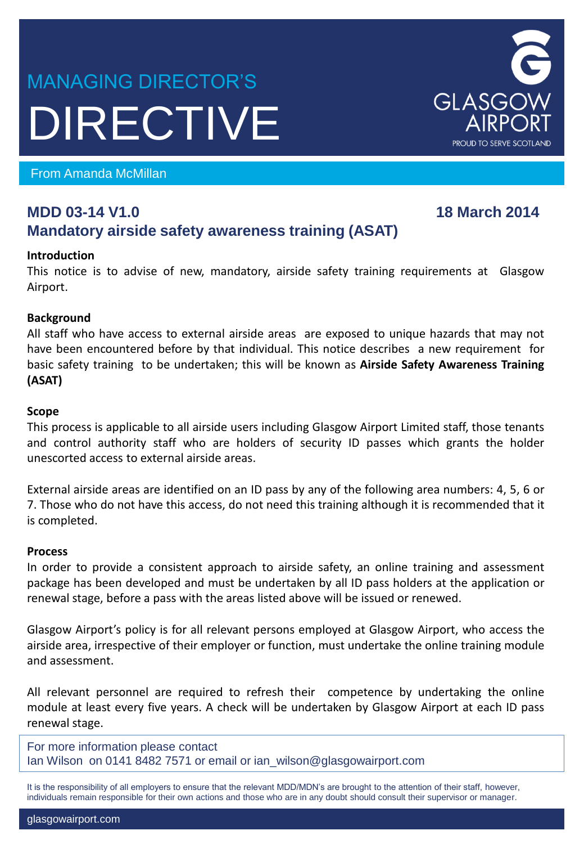# MANAGING DIRECTOR'S DIRECTIVE

From Amanda McMillan

# **MDD 03-14 V1.0** 18 March 2014 **Mandatory airside safety awareness training (ASAT)**

# **Introduction**

This notice is to advise of new, mandatory, airside safety training requirements at Glasgow Airport.

# **Background**

All staff who have access to external airside areas are exposed to unique hazards that may not have been encountered before by that individual. This notice describes a new requirement for basic safety training to be undertaken; this will be known as **Airside Safety Awareness Training (ASAT)**

#### **Scope**

This process is applicable to all airside users including Glasgow Airport Limited staff, those tenants and control authority staff who are holders of security ID passes which grants the holder unescorted access to external airside areas.

External airside areas are identified on an ID pass by any of the following area numbers: 4, 5, 6 or 7. Those who do not have this access, do not need this training although it is recommended that it is completed.

#### **Process**

In order to provide a consistent approach to airside safety, an online training and assessment package has been developed and must be undertaken by all ID pass holders at the application or renewal stage, before a pass with the areas listed above will be issued or renewed.

Glasgow Airport's policy is for all relevant persons employed at Glasgow Airport, who access the airside area, irrespective of their employer or function, must undertake the online training module and assessment.

All relevant personnel are required to refresh their competence by undertaking the online module at least every five years. A check will be undertaken by Glasgow Airport at each ID pass renewal stage.

For more information please contact Ian Wilson on 0141 8482 7571 or email or ian\_wilson@glasgowairport.com

It is the responsibility of all employers to ensure that the relevant MDD/MDN's are brought to the attention of their staff, however, individuals remain responsible for their own actions and those who are in any doubt should consult their supervisor or manager.